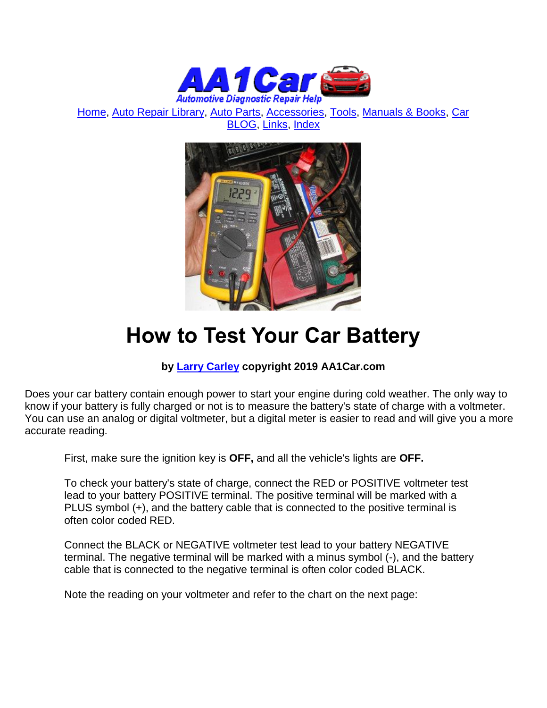

[Home,](http://www.aa1car.com/) [Auto Repair Library,](http://www.aa1car.com/library.htm) [Auto Parts,](http://www.aa1car.com/links_parts.htm) [Accessories,](http://www.aa1car.com/links_accessories.htm) [Tools,](http://www.aa1car.com/links_tools.htm) [Manuals & Books,](http://www.aa1car.com/links_books.htm) [Car](http://www.aa1car.com/blog/blog.htm)  [BLOG,](http://www.aa1car.com/blog/blog.htm) [Links,](http://www.aa1car.com/links.htm) [Index](http://www.aa1car.com/index_alphabetical.htm)



## **How to Test Your Car Battery**

### **by [Larry Carley](https://www.aa1car.com/larrypage/larrycarley_photos.htm) copyright 2019 AA1Car.com**

Does your car battery contain enough power to start your engine during cold weather. The only way to know if your battery is fully charged or not is to measure the battery's state of charge with a voltmeter. You can use an analog or digital voltmeter, but a digital meter is easier to read and will give you a more accurate reading.

First, make sure the ignition key is **OFF,** and all the vehicle's lights are **OFF.**

To check your battery's state of charge, connect the RED or POSITIVE voltmeter test lead to your battery POSITIVE terminal. The positive terminal will be marked with a PLUS symbol (+), and the battery cable that is connected to the positive terminal is often color coded RED.

Connect the BLACK or NEGATIVE voltmeter test lead to your battery NEGATIVE terminal. The negative terminal will be marked with a minus symbol (-), and the battery cable that is connected to the negative terminal is often color coded BLACK.

Note the reading on your voltmeter and refer to the chart on the next page: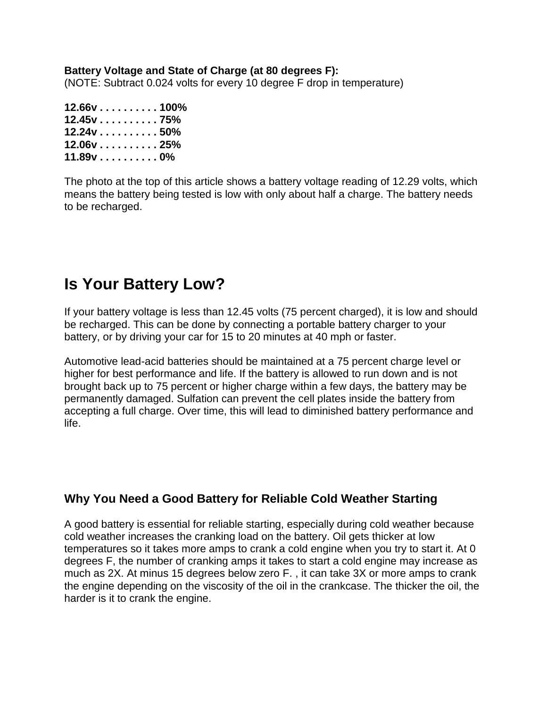#### **Battery Voltage and State of Charge (at 80 degrees F):**

(NOTE: Subtract 0.024 volts for every 10 degree F drop in temperature)

| $12.66$ v $\ldots \ldots \ldots \ldots 100\%$ |  |  |  |  |
|-----------------------------------------------|--|--|--|--|
| $12.45v$ 75%                                  |  |  |  |  |
| $12.24v$ 50%                                  |  |  |  |  |
| $12.06v$ 25%                                  |  |  |  |  |
| $11.89$ v $\ldots \ldots \ldots 0\%$          |  |  |  |  |

The photo at the top of this article shows a battery voltage reading of 12.29 volts, which means the battery being tested is low with only about half a charge. The battery needs to be recharged.

## **Is Your Battery Low?**

If your battery voltage is less than 12.45 volts (75 percent charged), it is low and should be recharged. This can be done by connecting a portable battery charger to your battery, or by driving your car for 15 to 20 minutes at 40 mph or faster.

Automotive lead-acid batteries should be maintained at a 75 percent charge level or higher for best performance and life. If the battery is allowed to run down and is not brought back up to 75 percent or higher charge within a few days, the battery may be permanently damaged. Sulfation can prevent the cell plates inside the battery from accepting a full charge. Over time, this will lead to diminished battery performance and life.

## **Why You Need a Good Battery for Reliable Cold Weather Starting**

A good battery is essential for reliable starting, especially during cold weather because cold weather increases the cranking load on the battery. Oil gets thicker at low temperatures so it takes more amps to crank a cold engine when you try to start it. At 0 degrees F, the number of cranking amps it takes to start a cold engine may increase as much as 2X. At minus 15 degrees below zero F. , it can take 3X or more amps to crank the engine depending on the viscosity of the oil in the crankcase. The thicker the oil, the harder is it to crank the engine.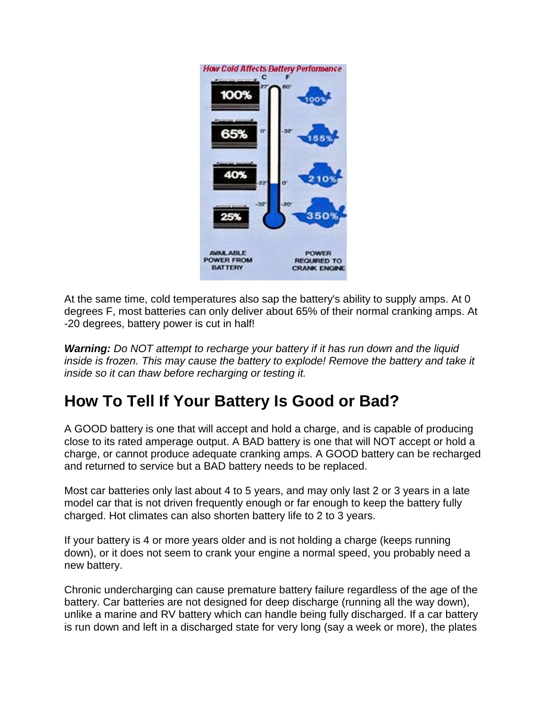

At the same time, cold temperatures also sap the battery's ability to supply amps. At 0 degrees F, most batteries can only deliver about 65% of their normal cranking amps. At -20 degrees, battery power is cut in half!

*Warning: Do NOT attempt to recharge your battery if it has run down and the liquid inside is frozen. This may cause the battery to explode! Remove the battery and take it inside so it can thaw before recharging or testing it.*

## **How To Tell If Your Battery Is Good or Bad?**

A GOOD battery is one that will accept and hold a charge, and is capable of producing close to its rated amperage output. A BAD battery is one that will NOT accept or hold a charge, or cannot produce adequate cranking amps. A GOOD battery can be recharged and returned to service but a BAD battery needs to be replaced.

Most car batteries only last about 4 to 5 years, and may only last 2 or 3 years in a late model car that is not driven frequently enough or far enough to keep the battery fully charged. Hot climates can also shorten battery life to 2 to 3 years.

If your battery is 4 or more years older and is not holding a charge (keeps running down), or it does not seem to crank your engine a normal speed, you probably need a new battery.

Chronic undercharging can cause premature battery failure regardless of the age of the battery. Car batteries are not designed for deep discharge (running all the way down), unlike a marine and RV battery which can handle being fully discharged. If a car battery is run down and left in a discharged state for very long (say a week or more), the plates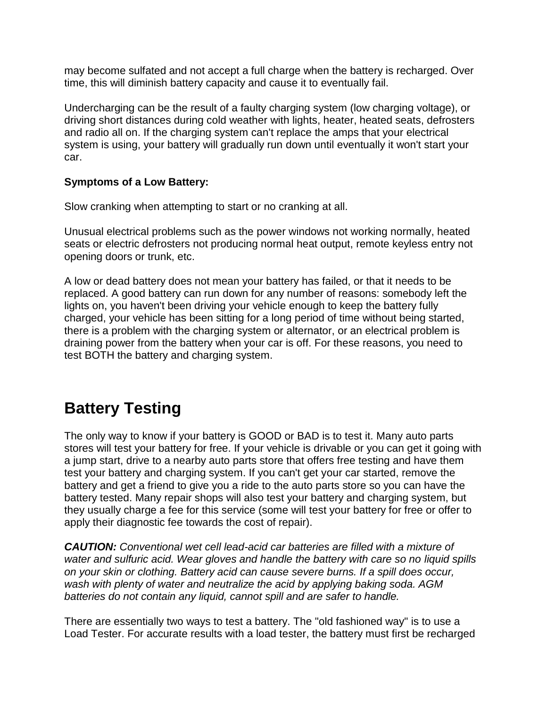may become sulfated and not accept a full charge when the battery is recharged. Over time, this will diminish battery capacity and cause it to eventually fail.

Undercharging can be the result of a faulty charging system (low charging voltage), or driving short distances during cold weather with lights, heater, heated seats, defrosters and radio all on. If the charging system can't replace the amps that your electrical system is using, your battery will gradually run down until eventually it won't start your car.

#### **Symptoms of a Low Battery:**

Slow cranking when attempting to start or no cranking at all.

Unusual electrical problems such as the power windows not working normally, heated seats or electric defrosters not producing normal heat output, remote keyless entry not opening doors or trunk, etc.

A low or dead battery does not mean your battery has failed, or that it needs to be replaced. A good battery can run down for any number of reasons: somebody left the lights on, you haven't been driving your vehicle enough to keep the battery fully charged, your vehicle has been sitting for a long period of time without being started, there is a problem with the charging system or alternator, or an electrical problem is draining power from the battery when your car is off. For these reasons, you need to test BOTH the battery and charging system.

## **Battery Testing**

The only way to know if your battery is GOOD or BAD is to test it. Many auto parts stores will test your battery for free. If your vehicle is drivable or you can get it going with a jump start, drive to a nearby auto parts store that offers free testing and have them test your battery and charging system. If you can't get your car started, remove the battery and get a friend to give you a ride to the auto parts store so you can have the battery tested. Many repair shops will also test your battery and charging system, but they usually charge a fee for this service (some will test your battery for free or offer to apply their diagnostic fee towards the cost of repair).

*CAUTION: Conventional wet cell lead-acid car batteries are filled with a mixture of water and sulfuric acid. Wear gloves and handle the battery with care so no liquid spills on your skin or clothing. Battery acid can cause severe burns. If a spill does occur, wash with plenty of water and neutralize the acid by applying baking soda. AGM batteries do not contain any liquid, cannot spill and are safer to handle.*

There are essentially two ways to test a battery. The "old fashioned way" is to use a Load Tester. For accurate results with a load tester, the battery must first be recharged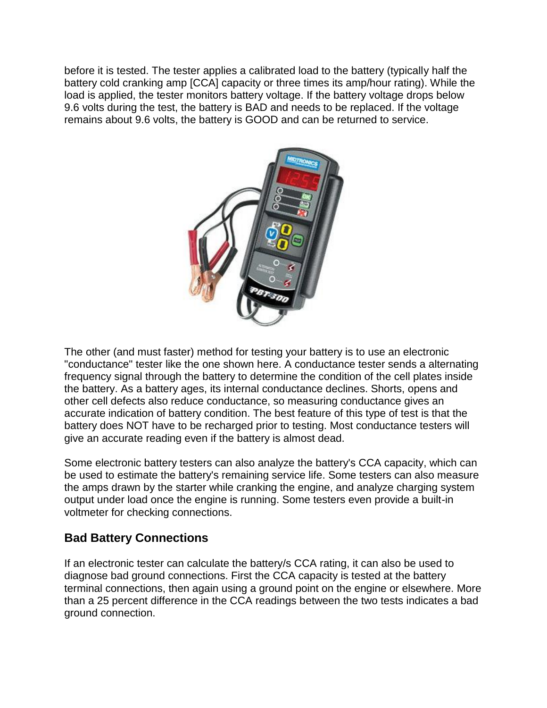before it is tested. The tester applies a calibrated load to the battery (typically half the battery cold cranking amp [CCA] capacity or three times its amp/hour rating). While the load is applied, the tester monitors battery voltage. If the battery voltage drops below 9.6 volts during the test, the battery is BAD and needs to be replaced. If the voltage remains about 9.6 volts, the battery is GOOD and can be returned to service.



The other (and must faster) method for testing your battery is to use an electronic "conductance" tester like the one shown here. A conductance tester sends a alternating frequency signal through the battery to determine the condition of the cell plates inside the battery. As a battery ages, its internal conductance declines. Shorts, opens and other cell defects also reduce conductance, so measuring conductance gives an accurate indication of battery condition. The best feature of this type of test is that the battery does NOT have to be recharged prior to testing. Most conductance testers will give an accurate reading even if the battery is almost dead.

Some electronic battery testers can also analyze the battery's CCA capacity, which can be used to estimate the battery's remaining service life. Some testers can also measure the amps drawn by the starter while cranking the engine, and analyze charging system output under load once the engine is running. Some testers even provide a built-in voltmeter for checking connections.

## **Bad Battery Connections**

If an electronic tester can calculate the battery/s CCA rating, it can also be used to diagnose bad ground connections. First the CCA capacity is tested at the battery terminal connections, then again using a ground point on the engine or elsewhere. More than a 25 percent difference in the CCA readings between the two tests indicates a bad ground connection.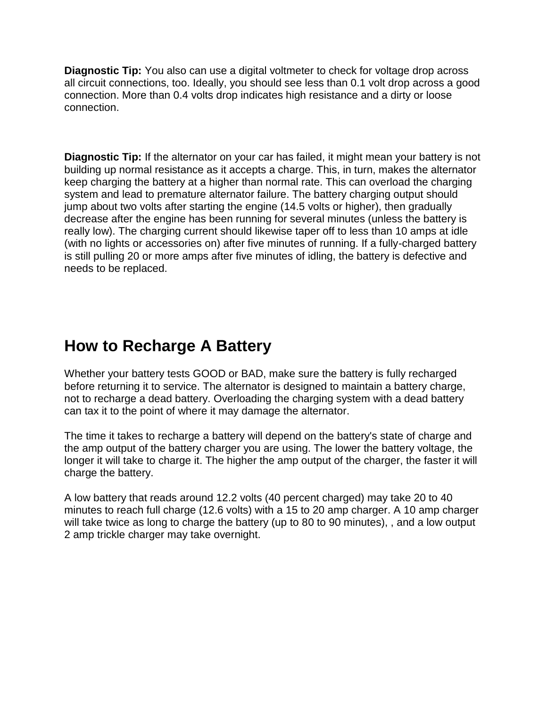**Diagnostic Tip:** You also can use a digital voltmeter to check for voltage drop across all circuit connections, too. Ideally, you should see less than 0.1 volt drop across a good connection. More than 0.4 volts drop indicates high resistance and a dirty or loose connection.

**Diagnostic Tip:** If the alternator on your car has failed, it might mean your battery is not building up normal resistance as it accepts a charge. This, in turn, makes the alternator keep charging the battery at a higher than normal rate. This can overload the charging system and lead to premature alternator failure. The battery charging output should jump about two volts after starting the engine (14.5 volts or higher), then gradually decrease after the engine has been running for several minutes (unless the battery is really low). The charging current should likewise taper off to less than 10 amps at idle (with no lights or accessories on) after five minutes of running. If a fully-charged battery is still pulling 20 or more amps after five minutes of idling, the battery is defective and needs to be replaced.

## **How to Recharge A Battery**

Whether your battery tests GOOD or BAD, make sure the battery is fully recharged before returning it to service. The alternator is designed to maintain a battery charge, not to recharge a dead battery. Overloading the charging system with a dead battery can tax it to the point of where it may damage the alternator.

The time it takes to recharge a battery will depend on the battery's state of charge and the amp output of the battery charger you are using. The lower the battery voltage, the longer it will take to charge it. The higher the amp output of the charger, the faster it will charge the battery.

A low battery that reads around 12.2 volts (40 percent charged) may take 20 to 40 minutes to reach full charge (12.6 volts) with a 15 to 20 amp charger. A 10 amp charger will take twice as long to charge the battery (up to 80 to 90 minutes), , and a low output 2 amp trickle charger may take overnight.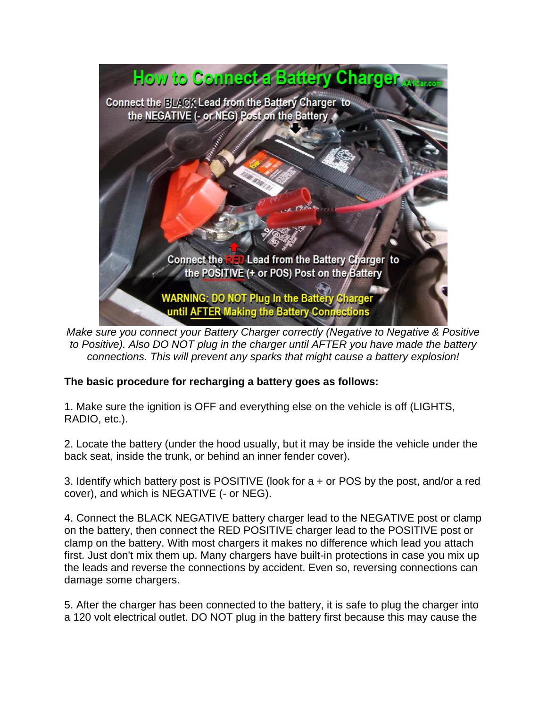

*Make sure you connect your Battery Charger correctly (Negative to Negative & Positive to Positive). Also DO NOT plug in the charger until AFTER you have made the battery connections. This will prevent any sparks that might cause a battery explosion!*

#### **The basic procedure for recharging a battery goes as follows:**

1. Make sure the ignition is OFF and everything else on the vehicle is off (LIGHTS, RADIO, etc.).

2. Locate the battery (under the hood usually, but it may be inside the vehicle under the back seat, inside the trunk, or behind an inner fender cover).

3. Identify which battery post is POSITIVE (look for a + or POS by the post, and/or a red cover), and which is NEGATIVE (- or NEG).

4. Connect the BLACK NEGATIVE battery charger lead to the NEGATIVE post or clamp on the battery, then connect the RED POSITIVE charger lead to the POSITIVE post or clamp on the battery. With most chargers it makes no difference which lead you attach first. Just don't mix them up. Many chargers have built-in protections in case you mix up the leads and reverse the connections by accident. Even so, reversing connections can damage some chargers.

5. After the charger has been connected to the battery, it is safe to plug the charger into a 120 volt electrical outlet. DO NOT plug in the battery first because this may cause the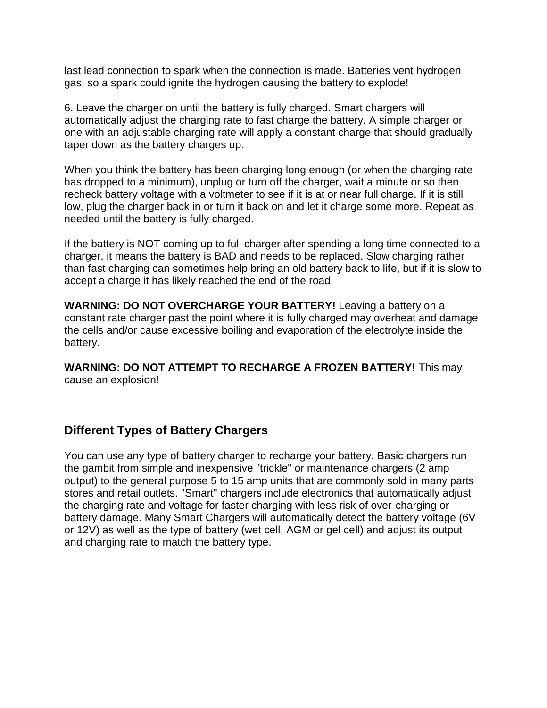last lead connection to spark when the connection is made. Batteries vent hydrogen gas, so a spark could ignite the hydrogen causing the battery to explode!

6. Leave the charger on until the battery is fully charged. Smart chargers will automatically adjust the charging rate to fast charge the battery. A simple charger or one with an adjustable charging rate will apply a constant charge that should gradually taper down as the battery charges up.

When you think the battery has been charging long enough (or when the charging rate has dropped to a minimum), unplug or turn off the charger, wait a minute or so then recheck battery voltage with a voltmeter to see if it is at or near full charge. If it is still low, plug the charger back in or turn it back on and let it charge some more. Repeat as needed until the battery is fully charged.

If the battery is NOT coming up to full charger after spending a long time connected to a charger, it means the battery is BAD and needs to be replaced. Slow charging rather than fast charging can sometimes help bring an old battery back to life, but if it is slow to accept a charge it has likely reached the end of the road.

**WARNING: DO NOT OVERCHARGE YOUR BATTERY!** Leaving a battery on a constant rate charger past the point where it is fully charged may overheat and damage the cells and/or cause excessive boiling and evaporation of the electrolyte inside the battery.

**WARNING: DO NOT ATTEMPT TO RECHARGE A FROZEN BATTERY!** This may cause an explosion!

### **Different Types of Battery Chargers**

You can use any type of battery charger to recharge your battery. Basic chargers run the gambit from simple and inexpensive "trickle" or maintenance chargers (2 amp output) to the general purpose 5 to 15 amp units that are commonly sold in many parts stores and retail outlets. "Smart" chargers include electronics that automatically adjust the charging rate and voltage for faster charging with less risk of over-charging or battery damage. Many Smart Chargers will automatically detect the battery voltage (6V or 12V) as well as the type of battery (wet cell, AGM or gel cell) and adjust its output and charging rate to match the battery type.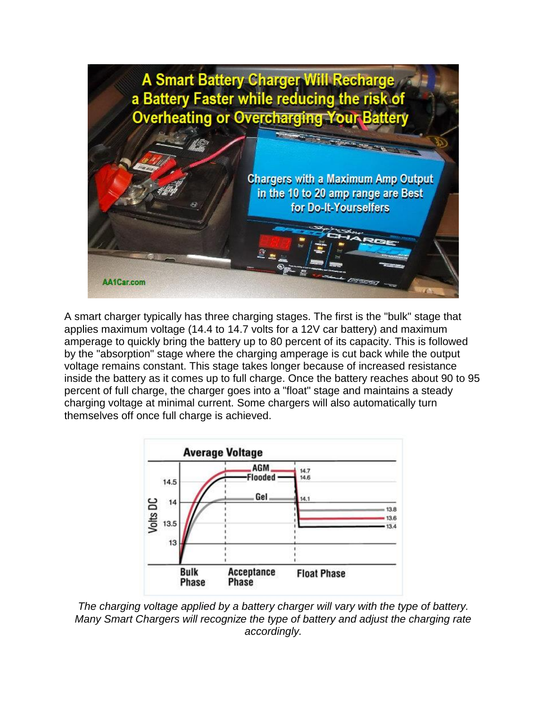

A smart charger typically has three charging stages. The first is the "bulk" stage that applies maximum voltage (14.4 to 14.7 volts for a 12V car battery) and maximum amperage to quickly bring the battery up to 80 percent of its capacity. This is followed by the "absorption" stage where the charging amperage is cut back while the output voltage remains constant. This stage takes longer because of increased resistance inside the battery as it comes up to full charge. Once the battery reaches about 90 to 95 percent of full charge, the charger goes into a "float" stage and maintains a steady charging voltage at minimal current. Some chargers will also automatically turn themselves off once full charge is achieved.



*The charging voltage applied by a battery charger will vary with the type of battery. Many Smart Chargers will recognize the type of battery and adjust the charging rate accordingly.*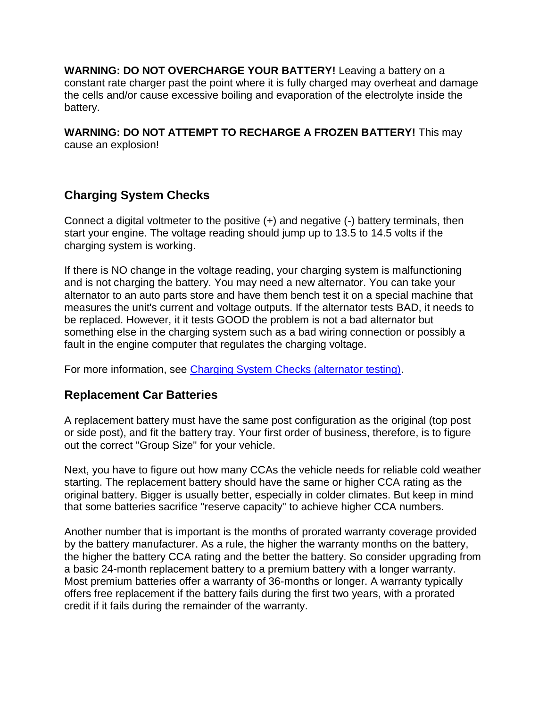**WARNING: DO NOT OVERCHARGE YOUR BATTERY!** Leaving a battery on a constant rate charger past the point where it is fully charged may overheat and damage the cells and/or cause excessive boiling and evaporation of the electrolyte inside the battery.

**WARNING: DO NOT ATTEMPT TO RECHARGE A FROZEN BATTERY!** This may cause an explosion!

## **Charging System Checks**

Connect a digital voltmeter to the positive (+) and negative (-) battery terminals, then start your engine. The voltage reading should jump up to 13.5 to 14.5 volts if the charging system is working.

If there is NO change in the voltage reading, your charging system is malfunctioning and is not charging the battery. You may need a new alternator. You can take your alternator to an auto parts store and have them bench test it on a special machine that measures the unit's current and voltage outputs. If the alternator tests BAD, it needs to be replaced. However, it it tests GOOD the problem is not a bad alternator but something else in the charging system such as a bad wiring connection or possibly a fault in the engine computer that regulates the charging voltage.

For more information, see [Charging System Checks \(alternator testing\).](http://www.aa1car.com/library/charging_checks.htm)

## **Replacement Car Batteries**

A replacement battery must have the same post configuration as the original (top post or side post), and fit the battery tray. Your first order of business, therefore, is to figure out the correct "Group Size" for your vehicle.

Next, you have to figure out how many CCAs the vehicle needs for reliable cold weather starting. The replacement battery should have the same or higher CCA rating as the original battery. Bigger is usually better, especially in colder climates. But keep in mind that some batteries sacrifice "reserve capacity" to achieve higher CCA numbers.

Another number that is important is the months of prorated warranty coverage provided by the battery manufacturer. As a rule, the higher the warranty months on the battery, the higher the battery CCA rating and the better the battery. So consider upgrading from a basic 24-month replacement battery to a premium battery with a longer warranty. Most premium batteries offer a warranty of 36-months or longer. A warranty typically offers free replacement if the battery fails during the first two years, with a prorated credit if it fails during the remainder of the warranty.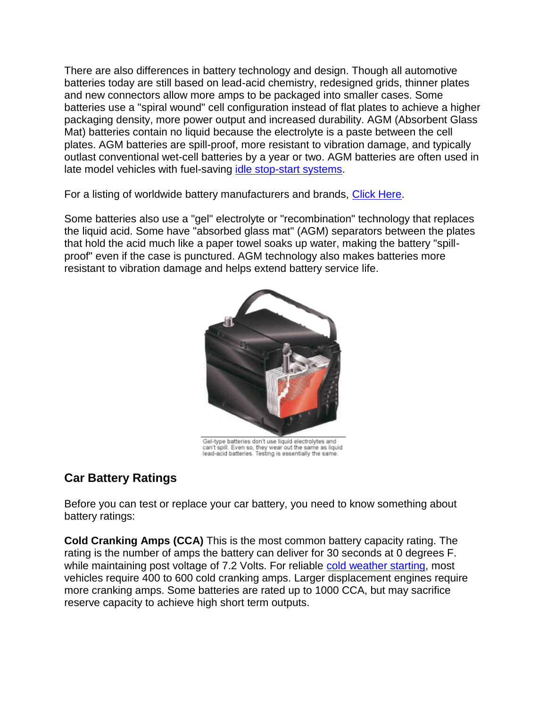There are also differences in battery technology and design. Though all automotive batteries today are still based on lead-acid chemistry, redesigned grids, thinner plates and new connectors allow more amps to be packaged into smaller cases. Some batteries use a "spiral wound" cell configuration instead of flat plates to achieve a higher packaging density, more power output and increased durability. AGM (Absorbent Glass Mat) batteries contain no liquid because the electrolyte is a paste between the cell plates. AGM batteries are spill-proof, more resistant to vibration damage, and typically outlast conventional wet-cell batteries by a year or two. AGM batteries are often used in late model vehicles with fuel-saving [idle stop-start systems.](https://www.aa1car.com/library/stop-start_systems.htm)

For a listing of worldwide battery manufacturers and brands, [Click Here.](http://jgdarden.com/batteryfaq/batbrand.htm)

Some batteries also use a "gel" electrolyte or "recombination" technology that replaces the liquid acid. Some have "absorbed glass mat" (AGM) separators between the plates that hold the acid much like a paper towel soaks up water, making the battery "spillproof" even if the case is punctured. AGM technology also makes batteries more resistant to vibration damage and helps extend battery service life.



Gel-type batteries don't use liquid electrolytes and can't spill. Even so, they wear out the same as liquid<br>lead-acid batteries. Testing is essentially the same.

## **Car Battery Ratings**

Before you can test or replace your car battery, you need to know something about battery ratings:

**Cold Cranking Amps (CCA)** This is the most common battery capacity rating. The rating is the number of amps the battery can deliver for 30 seconds at 0 degrees F. while maintaining post voltage of 7.2 Volts. For reliable [cold weather starting,](http://www.aa1car.com/library/winterizing_tips.htm) most vehicles require 400 to 600 cold cranking amps. Larger displacement engines require more cranking amps. Some batteries are rated up to 1000 CCA, but may sacrifice reserve capacity to achieve high short term outputs.